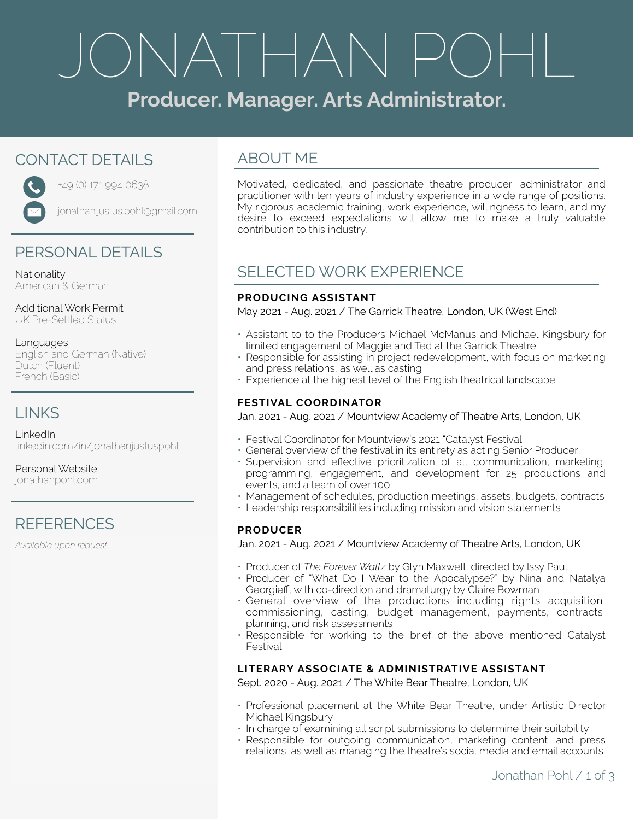# ONATHAN PC

# **Producer. Manager. Arts Administrator.**

# CONTACT DETAILS



+49 (0) 171 994 0638

jonathan.justus.pohl@gmail.com

# PERSONAL DETAILS

Nationality American & German

Additional Work Permit UK Pre-Settled Status

#### Languages English and German (Native) Dutch (Fluent) French (Basic)

# LINKS

LinkedIn [linkedin.com/in/jonathanjustuspohl](http://linkedin.com/in/jonathanjustuspohl)

Personal Website [jonathanpohl.com](http://jonathanpohl.com)

# **REFERENCES**

*Available upon request.*

# ABOUT ME

Motivated, dedicated, and passionate theatre producer, administrator and practitioner with ten years of industry experience in a wide range of positions. My rigorous academic training, work experience, willingness to learn, and my desire to exceed expectations will allow me to make a truly valuable contribution to this industry.

# SELECTED WORK EXPERIENCE

## **PRODUCING ASSISTANT**

May 2021 - Aug. 2021 / The Garrick Theatre, London, UK (West End)

- Assistant to to the Producers Michael McManus and Michael Kingsbury for limited engagement of Maggie and Ted at the Garrick Theatre
- Responsible for assisting in project redevelopment, with focus on marketing and press relations, as well as casting
- Experience at the highest level of the English theatrical landscape

# **FESTIVAL COORDINATOR**

Jan. 2021 - Aug. 2021 / Mountview Academy of Theatre Arts, London, UK

- Festival Coordinator for Mountview's 2021 "Catalyst Festival"
- General overview of the festival in its entirety as acting Senior Producer
- Supervision and effective prioritization of all communication, marketing, programming, engagement, and development for 25 productions and events, and a team of over 100
- Management of schedules, production meetings, assets, budgets, contracts
- Leadership responsibilities including mission and vision statements

## **PRODUCER**

Jan. 2021 - Aug. 2021 / Mountview Academy of Theatre Arts, London, UK

- Producer of *The Forever Waltz* by Glyn Maxwell, directed by Issy Paul
- Producer of "What Do I Wear to the Apocalypse?" by Nina and Natalya Georgieff, with co-direction and dramaturgy by Claire Bowman
- General overview of the productions including rights acquisition, commissioning, casting, budget management, payments, contracts, planning, and risk assessments
- Responsible for working to the brief of the above mentioned Catalyst Festival

# **LITERARY ASSOCIATE & ADMINISTRATIVE ASSISTANT**

Sept. 2020 - Aug. 2021 / The White Bear Theatre, London, UK

- Professional placement at the White Bear Theatre, under Artistic Director Michael Kingsbury
- In charge of examining all script submissions to determine their suitability
- Responsible for outgoing communication, marketing content, and press relations, as well as managing the theatre's social media and email accounts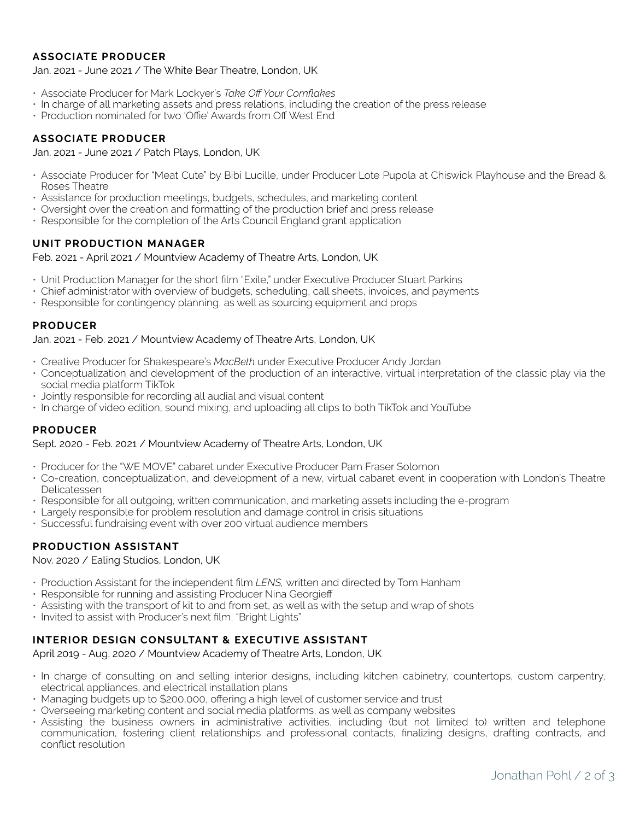## **ASSOCIATE PRODUCER**

Jan. 2021 - June 2021 / The White Bear Theatre, London, UK

- Associate Producer for Mark Lockyer's *Take Off Your Cornflakes*
- In charge of all marketing assets and press relations, including the creation of the press release
- Production nominated for two 'Offie' Awards from Off West End

#### **ASSOCIATE PRODUCER**

Jan. 2021 - June 2021 / Patch Plays, London, UK

- Associate Producer for "Meat Cute" by Bibi Lucille, under Producer Lote Pupola at Chiswick Playhouse and the Bread & Roses Theatre
- Assistance for production meetings, budgets, schedules, and marketing content
- Oversight over the creation and formatting of the production brief and press release
- Responsible for the completion of the Arts Council England grant application

#### **UNIT PRODUCTION MANAGER**

Feb. 2021 - April 2021 / Mountview Academy of Theatre Arts, London, UK

- Unit Production Manager for the short film "Exile," under Executive Producer Stuart Parkins
- Chief administrator with overview of budgets, scheduling, call sheets, invoices, and payments
- Responsible for contingency planning, as well as sourcing equipment and props

#### **PRODUCER**

#### Jan. 2021 - Feb. 2021 / Mountview Academy of Theatre Arts, London, UK

- Creative Producer for Shakespeare's *MacBeth* under Executive Producer Andy Jordan
- Conceptualization and development of the production of an interactive, virtual interpretation of the classic play via the social media platform TikTok
- Jointly responsible for recording all audial and visual content
- In charge of video edition, sound mixing, and uploading all clips to both TikTok and YouTube

#### **PRODUCER**

#### Sept. 2020 - Feb. 2021 / Mountview Academy of Theatre Arts, London, UK

- Producer for the "WE MOVE" cabaret under Executive Producer Pam Fraser Solomon
- Co-creation, conceptualization, and development of a new, virtual cabaret event in cooperation with London's Theatre Delicatessen
- Responsible for all outgoing, written communication, and marketing assets including the e-program
- Largely responsible for problem resolution and damage control in crisis situations
- Successful fundraising event with over 200 virtual audience members

## **PRODUCTION ASSISTANT**

Nov. 2020 / Ealing Studios, London, UK

- Production Assistant for the independent film *LENS,* written and directed by Tom Hanham
- Responsible for running and assisting Producer Nina Georgieff
- Assisting with the transport of kit to and from set, as well as with the setup and wrap of shots
- Invited to assist with Producer's next film, "Bright Lights"

#### **INTERIOR DESIGN CONSULTANT & EXECUTIVE ASSISTANT**

April 2019 - Aug. 2020 / Mountview Academy of Theatre Arts, London, UK

- In charge of consulting on and selling interior designs, including kitchen cabinetry, countertops, custom carpentry, electrical appliances, and electrical installation plans
- Managing budgets up to \$200,000, offering a high level of customer service and trust
- Overseeing marketing content and social media platforms, as well as company websites
- Assisting the business owners in administrative activities, including (but not limited to) written and telephone communication, fostering client relationships and professional contacts, finalizing designs, drafting contracts, and conflict resolution